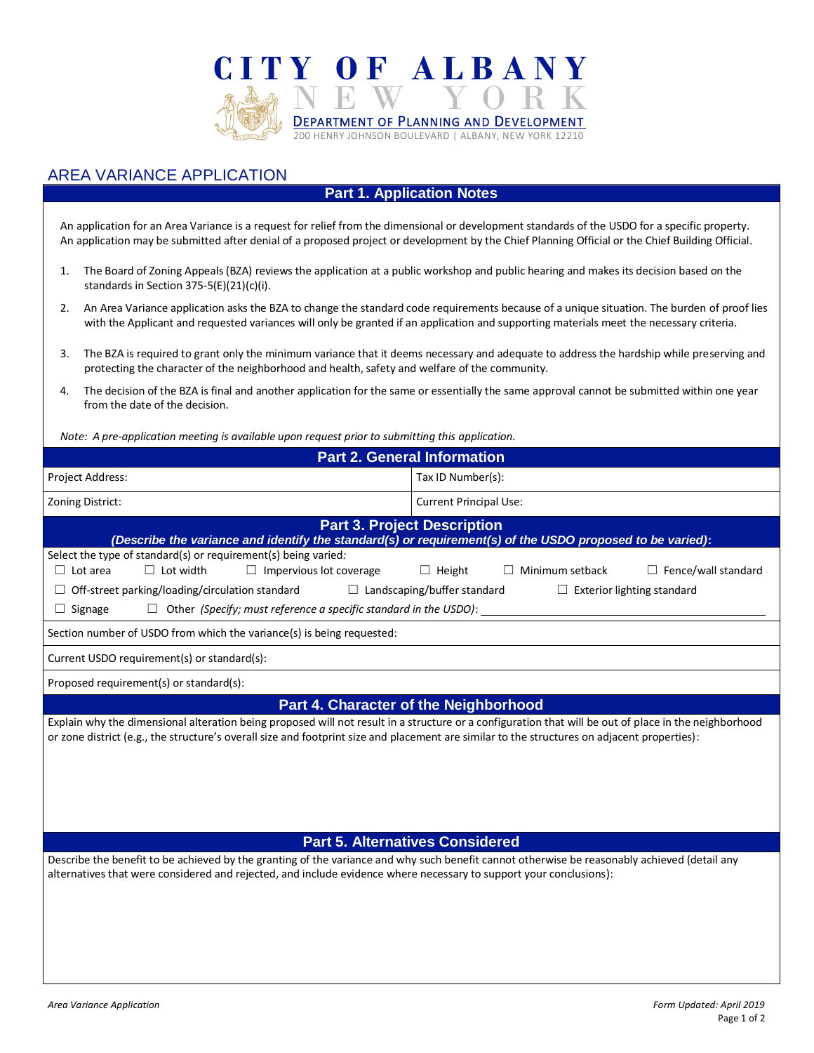

# AREA VARIANCE APPLICATION

## **Part 1. Application Notes**

An application for an Area Variance is a request for relief from the dimensional or development standards of the USDO for a specific property. An application may be submitted after denial of a proposed project or development by the Chief Planning Official or the Chief Building Official.

- 1. The Board of Zoning Appeals (BZA) reviews the application at a public workshop and public hearing and makes its decision based on the standards in Section 375-5(E)(21)(c)(i).
- 2. An Area Variance application asks the BZA to change the standard code requirements because of a unique situation. The burden of proof lies with the Applicant and requested variances will only be granted if an application and supporting materials meet the necessary criteria.
- 3. The BZA is required to grant only the minimum variance that it deems necessary and adequate to address the hardship while preserving and protecting the character of the neighborhood and health, safety and welfare of the community.
- 4. The decision of the BZA is final and another application for the same or essentially the same approval cannot be submitted within one year from the date of the decision.

*Note: A pre-application meeting is available upon request prior to submitting this application.*

| <b>Part 2. General Information</b>                                                                                                                                                                                                                                                                    |                                                                     |
|-------------------------------------------------------------------------------------------------------------------------------------------------------------------------------------------------------------------------------------------------------------------------------------------------------|---------------------------------------------------------------------|
| <b>Project Address:</b>                                                                                                                                                                                                                                                                               | Tax ID Number(s):                                                   |
| Zoning District:                                                                                                                                                                                                                                                                                      | <b>Current Principal Use:</b>                                       |
| <b>Part 3. Project Description</b><br>(Describe the variance and identify the standard(s) or requirement(s) of the USDO proposed to be varied):                                                                                                                                                       |                                                                     |
| Select the type of standard(s) or requirement(s) being varied:<br>$\Box$ Lot width<br>$\Box$ Lot area<br>$\Box$ Impervious lot coverage                                                                                                                                                               | Minimum setback<br>$\Box$ Fence/wall standard<br>$\Box$ Height<br>ш |
| Off-street parking/loading/circulation standard $\Box$ Landscaping/buffer standard<br>Exterior lighting standard<br>ш                                                                                                                                                                                 |                                                                     |
| Other (Specify; must reference a specific standard in the USDO):<br>$\Box$ Signage                                                                                                                                                                                                                    |                                                                     |
| Section number of USDO from which the variance(s) is being requested:                                                                                                                                                                                                                                 |                                                                     |
| Current USDO requirement(s) or standard(s):                                                                                                                                                                                                                                                           |                                                                     |
| Proposed requirement(s) or standard(s):                                                                                                                                                                                                                                                               |                                                                     |
| <b>Part 4. Character of the Neighborhood</b>                                                                                                                                                                                                                                                          |                                                                     |
| Explain why the dimensional alteration being proposed will not result in a structure or a configuration that will be out of place in the neighborhood<br>or zone district (e.g., the structure's overall size and footprint size and placement are similar to the structures on adjacent properties): |                                                                     |

#### **Part 5. Alternatives Considered**

Describe the benefit to be achieved by the granting of the variance and why such benefit cannot otherwise be reasonably achieved (detail any alternatives that were considered and rejected, and include evidence where necessary to support your conclusions):